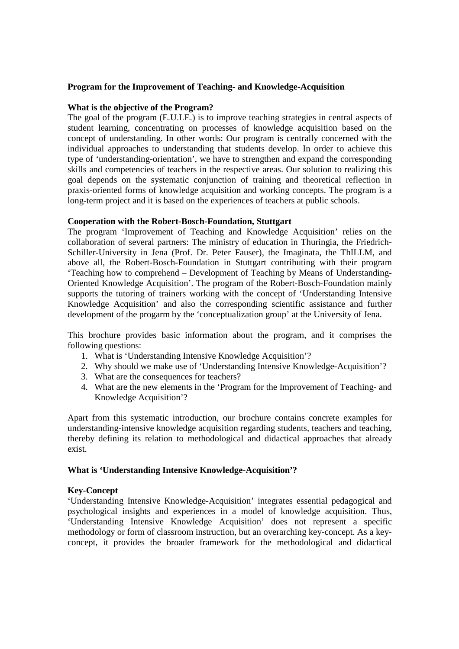# **Program for the Improvement of Teaching- and Knowledge-Acquisition**

## **What is the objective of the Program?**

The goal of the program (E.U.LE.) is to improve teaching strategies in central aspects of student learning, concentrating on processes of knowledge acquisition based on the concept of understanding. In other words: Our program is centrally concerned with the individual approaches to understanding that students develop. In order to achieve this type of 'understanding-orientation', we have to strengthen and expand the corresponding skills and competencies of teachers in the respective areas. Our solution to realizing this goal depends on the systematic conjunction of training and theoretical reflection in praxis-oriented forms of knowledge acquisition and working concepts. The program is a long-term project and it is based on the experiences of teachers at public schools.

### **Cooperation with the Robert-Bosch-Foundation, Stuttgart**

The program 'Improvement of Teaching and Knowledge Acquisition' relies on the collaboration of several partners: The ministry of education in Thuringia, the Friedrich-Schiller-University in Jena (Prof. Dr. Peter Fauser), the Imaginata, the ThILLM, and above all, the Robert-Bosch-Foundation in Stuttgart contributing with their program 'Teaching how to comprehend – Development of Teaching by Means of Understanding-Oriented Knowledge Acquisition'. The program of the Robert-Bosch-Foundation mainly supports the tutoring of trainers working with the concept of 'Understanding Intensive Knowledge Acquisition' and also the corresponding scientific assistance and further development of the progarm by the 'conceptualization group' at the University of Jena.

This brochure provides basic information about the program, and it comprises the following questions:

- 1. What is 'Understanding Intensive Knowledge Acquisition'?
- 2. Why should we make use of 'Understanding Intensive Knowledge-Acquisition'?
- 3. What are the consequences for teachers?
- 4. What are the new elements in the 'Program for the Improvement of Teaching- and Knowledge Acquisition'?

Apart from this systematic introduction, our brochure contains concrete examples for understanding-intensive knowledge acquisition regarding students, teachers and teaching, thereby defining its relation to methodological and didactical approaches that already exist.

### **What is 'Understanding Intensive Knowledge-Acquisition'?**

### **Key-Concept**

'Understanding Intensive Knowledge-Acquisition' integrates essential pedagogical and psychological insights and experiences in a model of knowledge acquisition. Thus, 'Understanding Intensive Knowledge Acquisition' does not represent a specific methodology or form of classroom instruction, but an overarching key-concept. As a keyconcept, it provides the broader framework for the methodological and didactical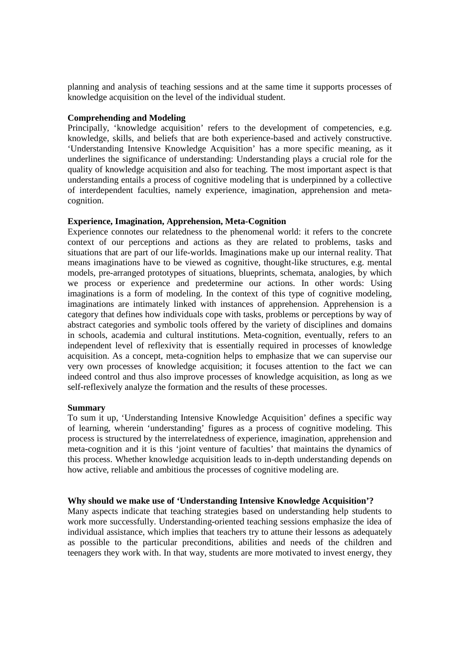planning and analysis of teaching sessions and at the same time it supports processes of knowledge acquisition on the level of the individual student.

## **Comprehending and Modeling**

Principally, 'knowledge acquisition' refers to the development of competencies, e.g. knowledge, skills, and beliefs that are both experience-based and actively constructive. 'Understanding Intensive Knowledge Acquisition' has a more specific meaning, as it underlines the significance of understanding: Understanding plays a crucial role for the quality of knowledge acquisition and also for teaching. The most important aspect is that understanding entails a process of cognitive modeling that is underpinned by a collective of interdependent faculties, namely experience, imagination, apprehension and metacognition.

# **Experience, Imagination, Apprehension, Meta-Cognition**

Experience connotes our relatedness to the phenomenal world: it refers to the concrete context of our perceptions and actions as they are related to problems, tasks and situations that are part of our life-worlds. Imaginations make up our internal reality. That means imaginations have to be viewed as cognitive, thought-like structures, e.g. mental models, pre-arranged prototypes of situations, blueprints, schemata, analogies, by which we process or experience and predetermine our actions. In other words: Using imaginations is a form of modeling. In the context of this type of cognitive modeling, imaginations are intimately linked with instances of apprehension. Apprehension is a category that defines how individuals cope with tasks, problems or perceptions by way of abstract categories and symbolic tools offered by the variety of disciplines and domains in schools, academia and cultural institutions. Meta-cognition, eventually, refers to an independent level of reflexivity that is essentially required in processes of knowledge acquisition. As a concept, meta-cognition helps to emphasize that we can supervise our very own processes of knowledge acquisition; it focuses attention to the fact we can indeed control and thus also improve processes of knowledge acquisition, as long as we self-reflexively analyze the formation and the results of these processes.

### **Summary**

To sum it up, 'Understanding Intensive Knowledge Acquisition' defines a specific way of learning, wherein 'understanding' figures as a process of cognitive modeling. This process is structured by the interrelatedness of experience, imagination, apprehension and meta-cognition and it is this 'joint venture of faculties' that maintains the dynamics of this process. Whether knowledge acquisition leads to in-depth understanding depends on how active, reliable and ambitious the processes of cognitive modeling are.

### **Why should we make use of 'Understanding Intensive Knowledge Acquisition'?**

Many aspects indicate that teaching strategies based on understanding help students to work more successfully. Understanding-oriented teaching sessions emphasize the idea of individual assistance, which implies that teachers try to attune their lessons as adequately as possible to the particular preconditions, abilities and needs of the children and teenagers they work with. In that way, students are more motivated to invest energy, they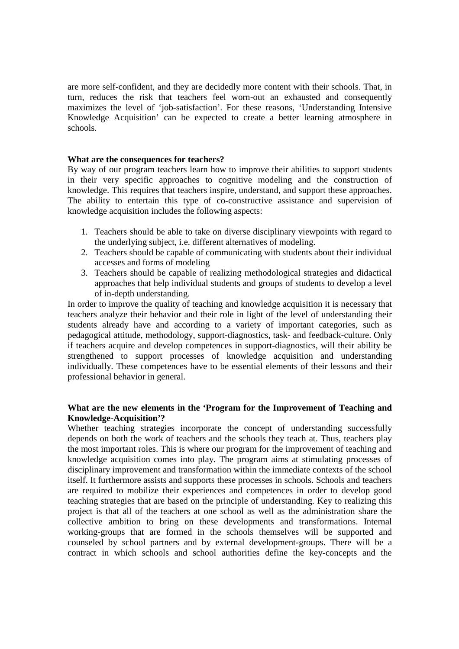are more self-confident, and they are decidedly more content with their schools. That, in turn, reduces the risk that teachers feel worn-out an exhausted and consequently maximizes the level of 'job-satisfaction'. For these reasons, 'Understanding Intensive Knowledge Acquisition' can be expected to create a better learning atmosphere in schools.

## **What are the consequences for teachers?**

By way of our program teachers learn how to improve their abilities to support students in their very specific approaches to cognitive modeling and the construction of knowledge. This requires that teachers inspire, understand, and support these approaches. The ability to entertain this type of co-constructive assistance and supervision of knowledge acquisition includes the following aspects:

- 1. Teachers should be able to take on diverse disciplinary viewpoints with regard to the underlying subject, i.e. different alternatives of modeling.
- 2. Teachers should be capable of communicating with students about their individual accesses and forms of modeling
- 3. Teachers should be capable of realizing methodological strategies and didactical approaches that help individual students and groups of students to develop a level of in-depth understanding.

In order to improve the quality of teaching and knowledge acquisition it is necessary that teachers analyze their behavior and their role in light of the level of understanding their students already have and according to a variety of important categories, such as pedagogical attitude, methodology, support-diagnostics, task- and feedback-culture. Only if teachers acquire and develop competences in support-diagnostics, will their ability be strengthened to support processes of knowledge acquisition and understanding individually. These competences have to be essential elements of their lessons and their professional behavior in general.

# **What are the new elements in the 'Program for the Improvement of Teaching and Knowledge-Acquisition'?**

Whether teaching strategies incorporate the concept of understanding successfully depends on both the work of teachers and the schools they teach at. Thus, teachers play the most important roles. This is where our program for the improvement of teaching and knowledge acquisition comes into play. The program aims at stimulating processes of disciplinary improvement and transformation within the immediate contexts of the school itself. It furthermore assists and supports these processes in schools. Schools and teachers are required to mobilize their experiences and competences in order to develop good teaching strategies that are based on the principle of understanding. Key to realizing this project is that all of the teachers at one school as well as the administration share the collective ambition to bring on these developments and transformations. Internal working-groups that are formed in the schools themselves will be supported and counseled by school partners and by external development-groups. There will be a contract in which schools and school authorities define the key-concepts and the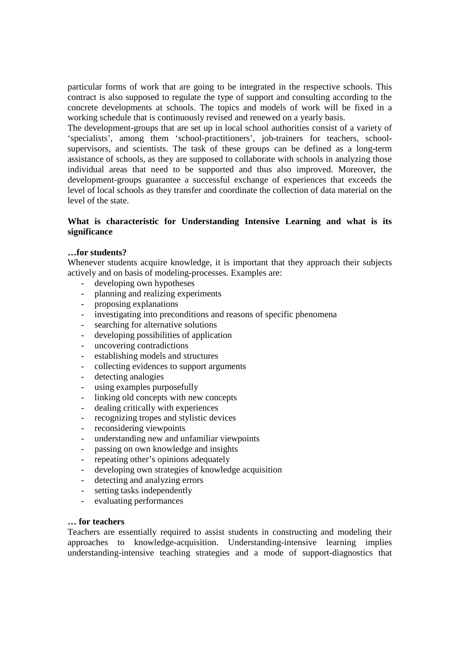particular forms of work that are going to be integrated in the respective schools. This contract is also supposed to regulate the type of support and consulting according to the concrete developments at schools. The topics and models of work will be fixed in a working schedule that is continuously revised and renewed on a yearly basis.

The development-groups that are set up in local school authorities consist of a variety of 'specialists', among them 'school-practitioners', job-trainers for teachers, schoolsupervisors, and scientists. The task of these groups can be defined as a long-term assistance of schools, as they are supposed to collaborate with schools in analyzing those individual areas that need to be supported and thus also improved. Moreover, the development-groups guarantee a successful exchange of experiences that exceeds the level of local schools as they transfer and coordinate the collection of data material on the level of the state.

# **What is characteristic for Understanding Intensive Learning and what is its significance**

# **…for students?**

Whenever students acquire knowledge, it is important that they approach their subjects actively and on basis of modeling-processes. Examples are:

- developing own hypotheses
- planning and realizing experiments
- proposing explanations
- investigating into preconditions and reasons of specific phenomena
- searching for alternative solutions
- developing possibilities of application
- uncovering contradictions
- establishing models and structures
- collecting evidences to support arguments
- detecting analogies
- using examples purposefully
- linking old concepts with new concepts
- dealing critically with experiences
- recognizing tropes and stylistic devices
- reconsidering viewpoints
- understanding new and unfamiliar viewpoints
- passing on own knowledge and insights
- repeating other's opinions adequately
- developing own strategies of knowledge acquisition
- detecting and analyzing errors
- setting tasks independently
- evaluating performances

# **… for teachers**

Teachers are essentially required to assist students in constructing and modeling their approaches to knowledge-acquisition. Understanding-intensive learning implies understanding-intensive teaching strategies and a mode of support-diagnostics that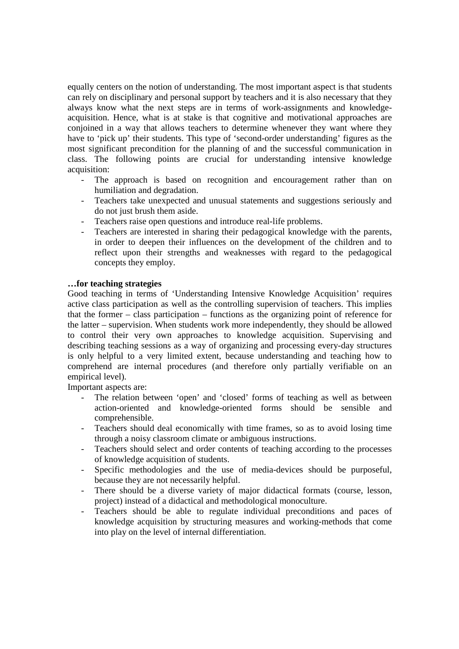equally centers on the notion of understanding. The most important aspect is that students can rely on disciplinary and personal support by teachers and it is also necessary that they always know what the next steps are in terms of work-assignments and knowledgeacquisition. Hence, what is at stake is that cognitive and motivational approaches are conjoined in a way that allows teachers to determine whenever they want where they have to 'pick up' their students. This type of 'second-order understanding' figures as the most significant precondition for the planning of and the successful communication in class. The following points are crucial for understanding intensive knowledge acquisition:

- The approach is based on recognition and encouragement rather than on humiliation and degradation.
- Teachers take unexpected and unusual statements and suggestions seriously and do not just brush them aside.
- Teachers raise open questions and introduce real-life problems.
- Teachers are interested in sharing their pedagogical knowledge with the parents, in order to deepen their influences on the development of the children and to reflect upon their strengths and weaknesses with regard to the pedagogical concepts they employ.

### **…for teaching strategies**

Good teaching in terms of 'Understanding Intensive Knowledge Acquisition' requires active class participation as well as the controlling supervision of teachers. This implies that the former – class participation – functions as the organizing point of reference for the latter – supervision. When students work more independently, they should be allowed to control their very own approaches to knowledge acquisition. Supervising and describing teaching sessions as a way of organizing and processing every-day structures is only helpful to a very limited extent, because understanding and teaching how to comprehend are internal procedures (and therefore only partially verifiable on an empirical level).

Important aspects are:

- The relation between 'open' and 'closed' forms of teaching as well as between action-oriented and knowledge-oriented forms should be sensible and comprehensible.
- Teachers should deal economically with time frames, so as to avoid losing time through a noisy classroom climate or ambiguous instructions.
- Teachers should select and order contents of teaching according to the processes of knowledge acquisition of students.
- Specific methodologies and the use of media-devices should be purposeful, because they are not necessarily helpful.
- There should be a diverse variety of major didactical formats (course, lesson, project) instead of a didactical and methodological monoculture.
- Teachers should be able to regulate individual preconditions and paces of knowledge acquisition by structuring measures and working-methods that come into play on the level of internal differentiation.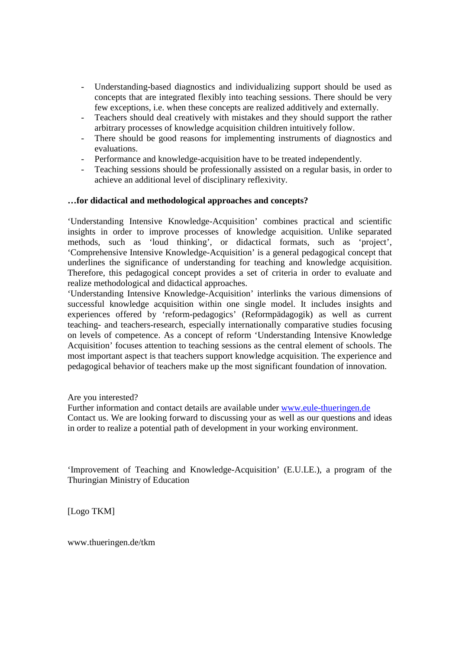- Understanding-based diagnostics and individualizing support should be used as concepts that are integrated flexibly into teaching sessions. There should be very few exceptions, i.e. when these concepts are realized additively and externally.
- Teachers should deal creatively with mistakes and they should support the rather arbitrary processes of knowledge acquisition children intuitively follow.
- There should be good reasons for implementing instruments of diagnostics and evaluations.
- Performance and knowledge-acquisition have to be treated independently.
- Teaching sessions should be professionally assisted on a regular basis, in order to achieve an additional level of disciplinary reflexivity.

# **…for didactical and methodological approaches and concepts?**

'Understanding Intensive Knowledge-Acquisition' combines practical and scientific insights in order to improve processes of knowledge acquisition. Unlike separated methods, such as 'loud thinking', or didactical formats, such as 'project', 'Comprehensive Intensive Knowledge-Acquisition' is a general pedagogical concept that underlines the significance of understanding for teaching and knowledge acquisition. Therefore, this pedagogical concept provides a set of criteria in order to evaluate and realize methodological and didactical approaches.

'Understanding Intensive Knowledge-Acquisition' interlinks the various dimensions of successful knowledge acquisition within one single model. It includes insights and experiences offered by 'reform-pedagogics' (Reformpädagogik) as well as current teaching- and teachers-research, especially internationally comparative studies focusing on levels of competence. As a concept of reform 'Understanding Intensive Knowledge Acquisition' focuses attention to teaching sessions as the central element of schools. The most important aspect is that teachers support knowledge acquisition. The experience and pedagogical behavior of teachers make up the most significant foundation of innovation.

Are you interested?

Further information and contact details are available under www.eule-thueringen.de Contact us. We are looking forward to discussing your as well as our questions and ideas in order to realize a potential path of development in your working environment.

'Improvement of Teaching and Knowledge-Acquisition' (E.U.LE.), a program of the Thuringian Ministry of Education

[Logo TKM]

www.thueringen.de/tkm